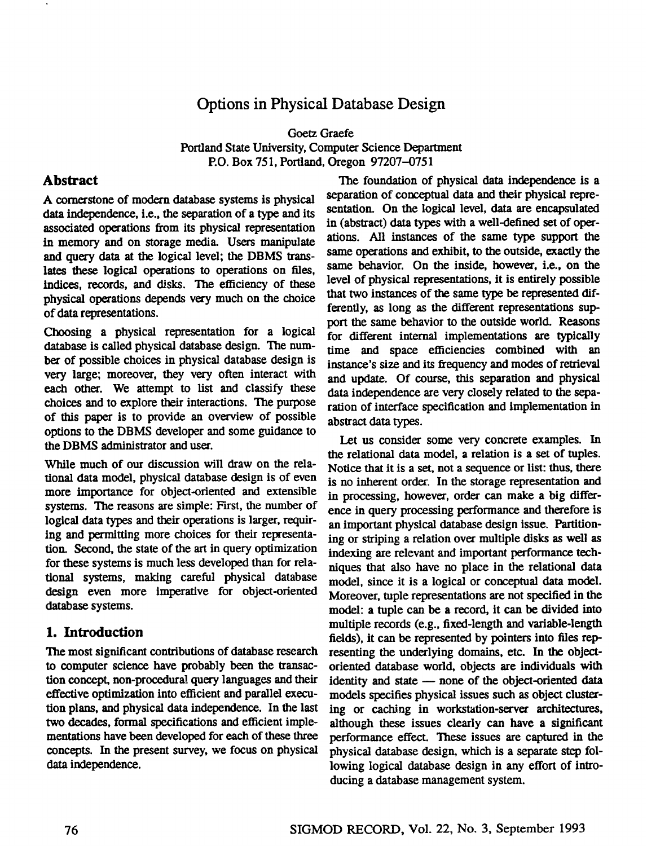# **Options in Physical Database Design**

Goetz Graefe Portland State University, Computer Science Department P.O. Box 751, Portland, Oregon 97207-0751

### **Abstract**

A cornerstone of modern database systems is physical data independence, i.e., the separation of a type and its associated operations from its physical representation in memory and on storage media. Users manipulate and query data at the logical level; the DBMS translates these logical operations to operations on files, indices, records, and disks. The efficiency of these physical operations depends very much on the choice of data representations.

Choosing a physical representation for a logical database is called physical database design. The number of possible choices in physical database design is very large; moreover, they very often interact with each other. We attempt to list and classify these choices and to explore their interactions. The purpose of this paper is to provide an overview of possible options to the DBMS developer and some guidance to the DBMS administrator and user.

While much of our discussion will draw on the relational data model, physical database design is of even more importance for object-oriented and extensible systems. The reasons are simple: First, the number of logical data types and their operations is larger, requiring and permitting more choices for their representation. Second, the state of the art in query optimization for these systems is much less developed than for relational systems, making careful physical database design even more imperative for object-oriented database systems.

# **1.** Introduction

The most significant contributions of database research to computer science have probably been the transaction concept, non-procedural query languages and their effective optimization into efficient and parallel execution plans, and physical data independence. In the last two decades, formal specifications and efficient implementations have been developed for each of these three concepts. In the present survey, we focus on physical data independence.

The foundation of physical data independence is a separation of conceptual data and their physical representation. On the logical level, data are encapsulated in (abstract) data types with a well-defined set of operations. All instances of the same type support the same operations and exhibit, to the outside, exactly the same behavior. On the inside, however, i.e., on the level of physical representations, it is entirely possible that two instances of the same type be represented differently, as long as the different representations support the same behavior to the outside world. Reasons for different internal implementations are typically time and space efficiencies combined with an instance's size and its frequency and modes of retrieval and update. Of course, this separation and physical data independence are very closely related to the separation of interface specification and implementation in abstract data types.

Let us consider some very concrete examples. In the relational data model, a relation is a set of tuples. Notice that it is a set, not a sequence or list: thus, there is no inherent order. In the storage representation and in processing, however, order can make a big difference in query processing performance and therefore is an important physical database design issue. Partitioning or striping a relation over multiple disks as well as indexing are relevant and important performance techniques that also have no place in the relational data model, since it is a logical or conceptual data model. Moreover, tuple representations are not specified in the model: a tuple can be a record, it can be divided into multiple records (e.g., fixed-length and variable-length fields), it can be represented by pointers into files representing the underlying domains, etc. In the objectoriented database world, objects are individuals with identity and state - none of the object-oriented data models specifies physical issues such as object clustering or caching in workstation-server architectures, although these issues clearly can have a significant performance effect. These issues are captured in the physical database design, which is a separate step following logical database design in any effort of introducing a database management system.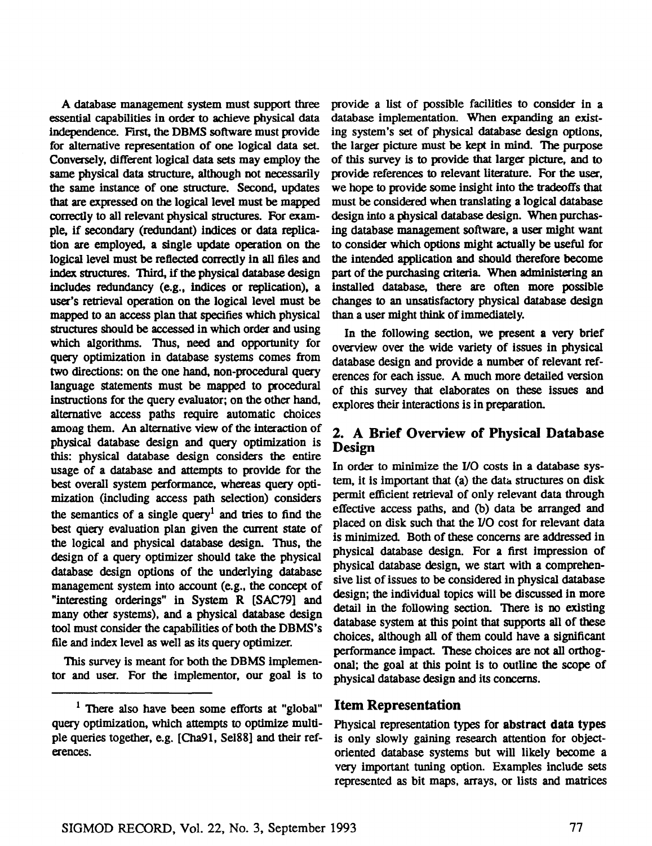A database management system must support three essential capabilities in order to achieve physical data independence. First, the DBMS software must provide for alternative representation of one logical data set. Conversely, different logical data sets may employ the same physical data structure, although not necessarily the same instance of one structure. Second, updates that are expressed on the logical level must be mapped correctly to all relevant physical structures. For example, if secondary (redundant) indices or data replication are employed, a single update operation on the logical level must be reflected correctly in all files and index structures. Third, if the physical database design includes redundancy (e.g., indices or replication), a user's retrieval operation on the logical level must be mapped to an access plan that specifies which physical structures should be accessed in which order and using which algorithms. Thus, need and opportunity for query optimization in database systems comes from two directions: on the one hand, non-procedural query language statements must be mapped to procedural instructions for the query evaluator; on the other hand, alternative access paths require automatic choices among them. An alternative view of the interaction of physical database design and query optimization is this: physical database design considers the entire usage of a database and attempts to provide for the best overall system performance, whereas query optimization (including access path selection) considers the semantics of a single query<sup>1</sup> and tries to find the best query evaluation plan given the current state of the logical and physical database design. Thus, the design of a query optimizer should take the physical database design options of the underlying database management system into account (e.g., the concept of "interesting orderings" in System R [SAC79] and many othez systems), and a physical database design tool must consider the capabilities of both the DBMS's file and index level as well as its query optimizer.

This survey is meant for both the DBMS implementor and user. For the implementor, our goal is to provide a list of possible facilities to consider in a database implementation. When expanding an existing system's set of physical database design options, the larger picture must be kept in mind. The purpose of this survey is to provide that larger picture, and to provide references to relevant literature. For the user, we hope to provide some insight into the tradeoffs that must be considered when translating a logical database design into a physical database design. When purchasing database management software, a user might want to consider which options might actually be useful for the intended application and should therefore become part of the purchasing criteria. When administering an installed database, there are often more possible changes to an unsatisfactory physical database design than a user might think of immediately.

In the following section, we present a very brief overview over the wide variety of issues in physical database design and provide a number of relevant references for each issue. A much more detailed version of this survey that elaborates on these issues and explores their interactions is in preparation.

### **2. A Brief Overview of Physical Database Design**

In order to minimize the I/O costs in a database system, it is important that (a) the data structures on disk permit efficient retrieval of only relevant data through effective access paths, and (b) data be arranged and placed on disk such that the I/O cost for relevant data is minimized. Both of these concerns are addressed in physical database design. For a first impression of physical database design, we start with a comprehensive list of issues to be considered in physical database design; the individual topics will be discussed in more detail in the following section. There is no existing database system at this point that supports all of these choices, although all of them could have a significant performance impact. These choices are not all orthogonal; the goal at this point is to outline the scope of physical database design and its concerns.

#### Item Representation

Physical representation types for abstract data types is only slowly gaining research attention for objectoriented database systems but will likely become a very important tuning option. Examples include sets represented as bit maps, arrays, or lists and matrices

<sup>&</sup>lt;sup>1</sup> There also have been some efforts at "global" query optimization, which attempts to optimize multiple queries together, e.g. [Cha91, Se188] and their references.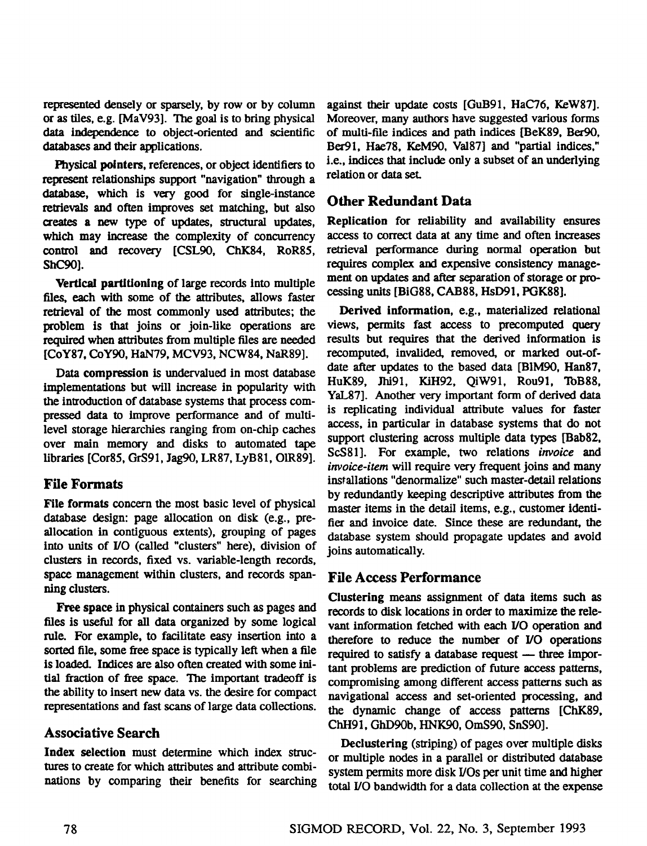represented densely or sparsely, by row or by column or as tiles, e.g. [MaV93]. The goal is to bring physical data independence to object-oriented and scientific databases and their applications.

Physical pointers, references, or object identifiers to represent relationships support "navigation" through a database, which is very good for single-instance retrievals and often improves set matching, but also creates a new type of updates, structural updates, which may increase the complexity of concurrency control and recovery [CSL90, ChK84, RoR85, ShC90].

Vertical partitioning of large records Into multiple files, each with some of the attributes, allows faster retrieval of the most commonly used attributes; the problem is that joins or join-like operations are required when attributes from multiple files are needed [COY87, COY90, HaN79, MCV93, NCW84, NaR89].

Data compression is undervalued in most database implementations but will increase in popularity with the introduction of database systems that process compressed data to improve performance and of multilevel storage hierarchies ranging from on-chip caches over main memory and disks to automated tape libraries [Cor85, GrS91, Jag90, LR87, LyB81, O1R89].

### **File Formats**

File formats concern the most basic level of physical database design: page allocation on disk (e.g., preallocation in contiguous extents), grouping of pages into units of I/O (called "clusters" here), division of clusters in records, fixed vs. variable-length records, space management within clusters, and records spanning clusters.

Free space in physical containers such as pages and files is useful for all data organized by some logical rule. For example, to facilitate easy insertion into a sorted file, some free space is typically left when a file is loaded. Indices are also often created with some initial fraction of free space. The important tradeoff is the ability to insert new data vs. the desire for compact representations and fast scans of large data collections.

# **Associative Search**

Index selection must determine which index structures to create for which attributes and attribute combinations by comparing their benefits for searching

against their update costs [GuB91, HaC76, KeW87]. Moreover, many authors have suggested various forms of multi-file indices and path indices [BeK89, Bet90, Ber91, Hae78, KeM90, Val87] and "partial indices," i.e., indices that include only a subset of an underlying relation or data seL

# **Other Redundant Data**

Replication for reliability and availability ensures access to correct data at any time and often increases retrieval performance during normal operation but requires complex and expensive consistency management on updates and after separation of storage or proceasing units [BIG88, CAB88, HsD91, PGK88].

Derived information, e.g., materialized relational views, permits fast access to precomputed query results but requires that the derived information is recomputed, invalided, removed, or marked out-ofdate after updates to the based data [B1M90, Han87, HuK89, Jhi91, Kill92, QiW91, Rou91, ToB88, YaL87]. Another very important form of derived data is replicating individual attribute values for faster access, in particular in database systems that do not support clustering across multiple data types [Bab82, ScS81]. For example, two relations *invoice and invoice-item* will require very frequent joins and many installations "denormalize" such master-detail relations by redundantly keeping descriptive attributes from the master items in the detail items, e.g., customer ldentifier and invoice date. Since these are redundant, the database system should propagate updates and avoid joins automatically.

# **File Access Performance**

Clustering means assignment of data items such as records to disk locations in order to maximize the relevant information fetched with each I/O operation and therefore to reduce the number of I/O operations required to satisfy a database request - three important problems are prediction of future access patterns, compromising among different access patterns such as navigational access and set-oriented processing, and the dynamic change of access patterns [ChK89, ChH91, GhD90b, HNK90, OmS90, SnS90].

Declustering (striping) of pages over multiple disks or multiple nodes in a parallel or distributed database system permits more disk I/Os per unit time and higher total I/O bandwidth for a data collection at the expense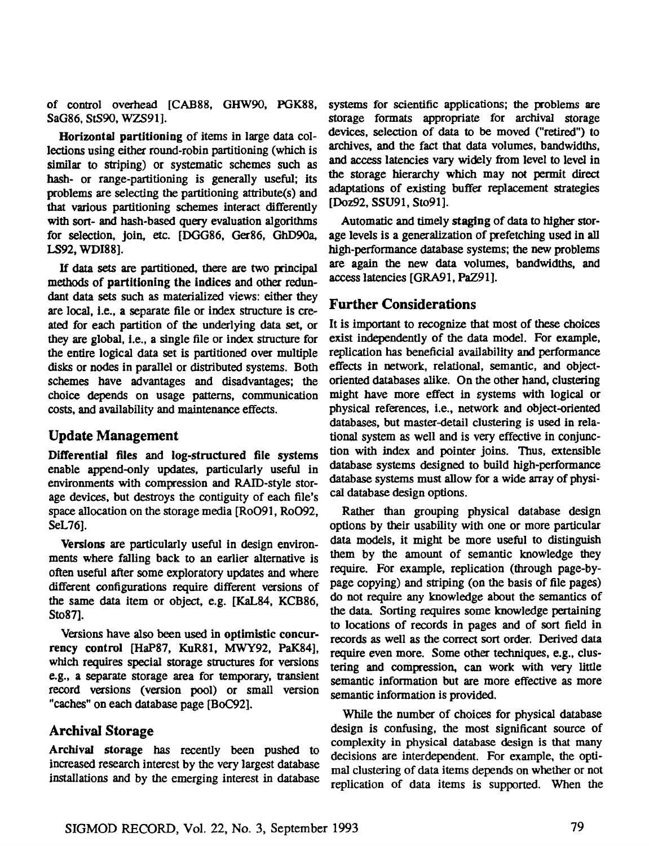of control overhead [CAB88, GHW90, PGK88, SAG86, StS90, WZS91].

Horizontal partitioning of items in large data collections using either round-robin partitioning (which is similar to striping) or systematic schemes such as hash- or range-partitioning is generally useful; its problems are selecting the partitioning attribute(s) and that various partitioning schemes interact differently with sort- and hash-based query evaluation algorithms for selection, join, etc. [DGG86, Ger86, GhD90a, LS92, WDI88].

If data sets are partitioned, there are two principal methods of **partitioning the** indices and other redundant data sets such as materialized views: either they are local, I.e., a separate file or index structure is created for each partition of the underlying data set, or they are global, i.e., a single file or index structure for the entire logical data set is partitioned over multiple disks or nodes in parallel or distributed systems. Both schemes have advantages and disadvantages; the choice depends on usage patterns, communication costs, and availability and maintenance effects.

#### **Update Management**

**Differential files** and log-structured **file systems**  enable append-only updates, particularly useful in environments with compression and RAID-style storage devices, but destroys the contiguity of each file's space allocation on the storage media [Ro091, Ro092, SeL76].

Versions are particularly useful in design environments where falling back to an earlier alternative is often useful after some exploratory updates and where different configurations require different versions of the same data item or object, e.g. [KaL84, KCB86, Sto871.

Versions have also been used in optimistic concurrency control [HAP87, KuR81, MWY92, PaK84], which requires special storage structures for versions e.g., a separate storage area for temporary, transient record versions (version pool) or small version "caches" on each database page [BoC92].

### Archival Storage

Archival storage has recently been pushed to increased research interest by the very largest database installations and by the emerging interest in database

systems for scientific applications; the problems are storage formats appropriate for archival storage devices, selection of data to be moved ("retired") to archives, and the fact that data volumes, bandwidths, and access latencies vary widely from level to level in the storage hierarchy which may not permit direct adaptations of existing buffer replacement strategies [Doz92, SSU91, Sto91].

Automatic and timely staging of data to higher storage levels is a generalization of prefetching used in all high-performance database systems; the new problems are again the new data volumes, bandwidths, and access latencies [GRA91, PaZ91].

# Further **Considerations**

It is important to recognize that most of these choices exist independently of the data model. For example, replication has beneficial availability and performance effects in network, relational, semantic, and objectoriented databases alike. On the other hand, clustering might have more effect in systems with logical or physical references, i.e., network and object-oriented databases, but master-detail clustering is used in relational system as well and is very effective in conjunction with index and pointer joins. Thus, extensible database systems designed to build high-performance database systems must allow for a wide array of physical database design options.

Rather than grouping physical database design options by their usability with one or more particular data models, it might be more useful to distinguish them by the amount of semantic knowledge they require. For example, replication (through page-bypage copying) and striping (on the basis of file pages) do not require any knowledge about the semantics of the data. Sorting requires some knowledge pertaining to locations of records in pages and of sort field in records as well as the correct sort order. Derived data require even more. Some other techniques, e.g., clustering and compression, can work with very little semantic information but are more effective as more semantic information is provided.

While the number of choices for physical database design is confusing, the most significant source of complexity in physical database design is that many decisions are interdependent. For example, the optimal clustering of data items depends on whether or not replication of data items is supported. When the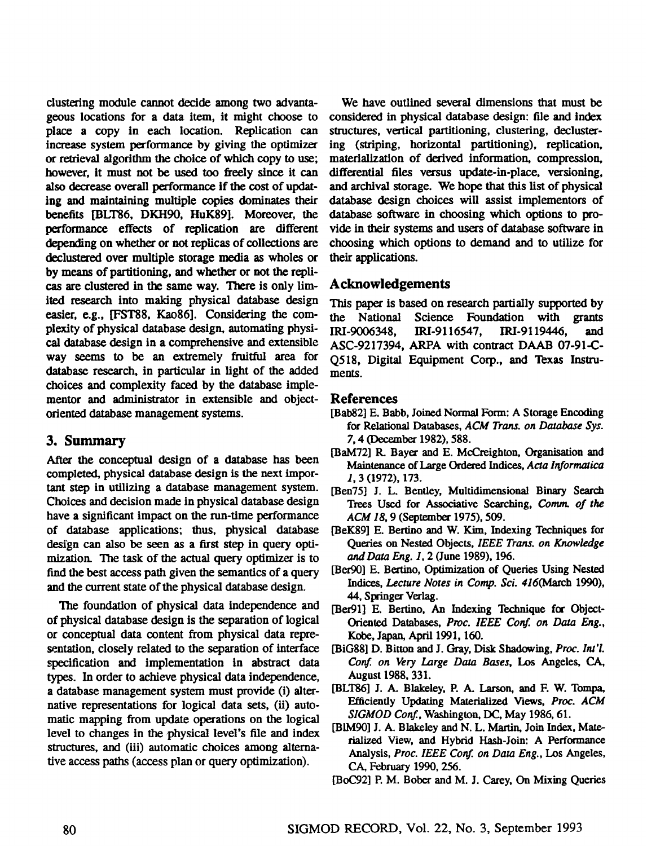clustering module cannot decide among two advantageous locations for a data item, it might choose to place a copy in each location. Replication can increase system performance by giving the optimizer or retrieval algorithm the choice of which copy to use; however, it must not be used too freely since it can also decrease overall performance if the cost of updating and maintaining multiple copies dominates their benefits [BLT86, DKH90, HuK89]. Moreover, the performance effects of replication are different depending on whether or not replicas of collections are declustered over multiple storage media as wholes or by means of partitioning, and whether or not the replicas are clustered in the same way. There is only limited research into making physical database design easier, e.g., [FST88, Kao86]. Considering the complexity of physical database design, automating physical database design in a comprehensive and extensible way seems to be an extremely fruitful area for database research, in particular in light of the added choices and complexity faced by the database implementor and administrator in extensible and objectoriented database management systems.

### **3. Summary**

After the conceptual design of a database has been completed, physical dat\_abase design is the next important step in utilizing a database management system. Choices and decision made in physical database design have a significant impact on the run-time performance of database applications; thus, physical database design can also be seen as a first step in query optimization. The task of the actual query optimizer is to find the best access path given the semantics of a query and the current state of the physical database design.

The foundation of physical data independence and of physical database design is the separation of logical or conceptual data content from physical data representation, closely related to the separation of interface specification and implementation in abstract data types. In order to achieve physical data independence, a database management system must provide (i) alternative representations for logical data sets, (ii) automatic mapping from update operations on the logical level to changes in the physical level's file and index structures, and (iii) automatic choices among alternative access paths (access plan or query optimization).

We have outlined several dimensions that must be considered in physical database design: file and index structures, vertical partitioning, clustering, declustering (striping, horizontal partitioning), replication, materialization of derived information, compression, differential files versus update-in-place, versioning, and archival storage. We hope that this list of physical database design choices will assist implementors of database software in choosing which options to provide in their systems and users of database software in choosing which options to demand and to utilize for their applications.

# **Acknowledgements**

This paper is based on research partially supported by the National Science Foundation with grants IRI-9006348, IRI-9116547, IRI-9119446, and ASC-9217394, ARPA with contract DAAB 07-91-C-Q518, Digital Equipment Corp., and Texas Instruments.

### References

- [Bab82] E. Babb, Joined Normal Form: A Storage Encoding for Relational Databases, *ACM Trans. on Database Sys.*  7, 4 (December 1982), 588.
- [BaM72] R. Bayer and E. McCreighton, Organisation and Maintenance of Large Ordered Indices, *Acta Informatica*  I, 3 (1972), 173.
- [Ben75] J. L. Bentley, Multidimensional Binary Search Trees Used for Associative Searching, *Comm. of the ACM 18,* 9 (September 1975), 509.
- [BeK89] E. Bertino and W. Kim, Indexing Techniques for Queries on Nested Objects, *IEEE Trans. on Knowledge andData Eng.* 1, 2 (June 1989), 196.
- [Ber90] E. Bertino, Optimization of Queries Using Nested *Indices, Lecture Notes in Comp. Sci. 416(March* 1990), 44, Springer Verlag.
- [Ber91] E. Bertino, An Indexing Technique for Object-Oriented Databases, Proc. IEEE Conf. on Data Eng., Kobe, Japan, April 1991, 160.
- [BIG88] D. Bitton and J. Gray, Disk Shadowing, *Proc. Int'l. Conf on Very Large Data Bases,* Los Angeles, CA, August 1988, 331.
- [BLT86] J. A. Bhakeley, P. A. Larson, and F. W. Tompa, F.fficienfly Updating Materiafized Views, *Proc. ACM SIGMOD Conf.,* Washington, DC, May 1986, 61.
- [BIM90] J. A. Blakeley and N. L. Martin, Join Index, Materialized View, and Hybrid Hash-Join: A Performance Analysis, *Proc. IEEE Conf. on Data Eng.,* Los Angeles, *CA, February 1990, 256.*

<sup>[</sup>BOC92] P. M. Bober and M. L Carey, On Mixing Queries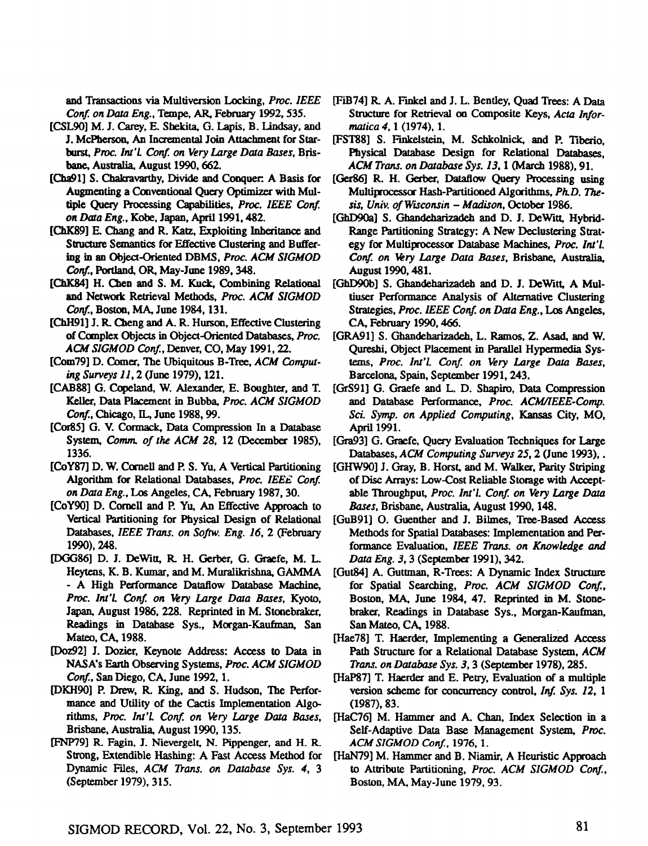and Transactions via Multiversion Locking, *Proc. IEEE Conf. on Data Eng.,* Tempe, AR, February 1992, 535.

- [CSL90] M. J. Carey, E. Shekita, G. Lapis, B. Lindsay, and J. McPberson, An Incremental Join Attachment for Star*burst, Proc. lnt'L Conf. on Very Large Data Bases, Bris*bane, Australia, August 1990, 662.
- [Cha91] S. Chakravarthy, Divide and Conquer. A Basis for Augmenting a Conventional Query Optimizer with Mul*tiple Query Processing Capabilities, Proc. tEEE Conf. on Data Eng.,* Kobe, Japan, April 1991, 482.
- [ChK89] E. Chang and R. Katz, Exploiting Inheritance and Structure Semantics for Effective Clustering and Buffering in an Object-Oriented DBMS, *Proc. ACM SIGMOD*  Conf., Portland, OR, May-June 1989, 348.
- [ChK84] H. Chen and S. M. Kuck, Combining Relational and Network Retrieval *Methods, Proc. ACM SIGMOD*  Conf., Boston, MA, June 1984, 131.
- [ChH91] J. R. Cheng and A. R. Hurson, Effective Clustering of Complex Objects in Object-Oriented Databases, *Proc. ACM SIGMOD Conf.,* Denver, CO, May 1991, 22.
- [Com79] D. Comer, The Ubiquitous B-Tree, *ACM Computing Surveys II,* 2 (June 1979), 121.
- [CAB88] G. Copeland, W. Alexander, E. Boughter, and T. Keller, Data Placement in Bubba, *Proc. ACM SIGMOD*  Conf., Chicago, IL, June 1988, 99.
- [Cor85] G. V. Cormack, Data Compression In a Database *System, Comm. of the ACM 28,* 12 (December 1985), 1336.
- [CoY87] D. W. Cornell and P. S. Yu, A Vertical Partitioning Algorithm for Relational Databases, *Proc. IEEE Conf. on Data Eng., Los* Angeles, CA, February 1987, 30.
- [CoY90] D. Cornell and P. Yu, An Effective Approach to Vertical Partitioning for Physical Design of Relational Databases, *IEEE Trans. on Soflw. Eng. 16,* 2 (February *1990), 248.*
- [DGG86] D. J. DeWitt, R. H. Gerber, G. Graefe, M. L. Heytens, K. B. Kumar, and M. Muralikrishna, GAMMA **-** A High Performance Dataflow Database Machine, *Proc. lnt'l. Conf. on Very Large Data Bases,* Kyoto, Japan, August 1986, 228. Reprinted in M. Stonebraker, Readings in Database Sys., Morgan-Kaufman, San Mateo, CA, 1988.
- [Doz92] J. Dozier, Keynote Address: Access to Data in NASA's Earth Observing Systems, *Proc. ACM SIGMOD Conf.,* San Diego, CA, June 1992, 1.
- [DKH90] P. Drew, R.. King, and S. Hudson, The Performance and Utility of the Cactis Implementation Algoriflams, *Proc. Int'l. Conf. on Very Large Data Bases,*  Brisbane, Australia, August 1990, 135.
- [FNP7/9] R. Fagin, J. Nievergelt, N. Pippenger, and H. R. Strong, Extendible Hashing: A Fast Access Method for Dynamic Files, *ACM Trans. on Database Sys.* 4, 3 (September 1979), 315.
- [FIB74] R. A. Finkel and J. L. Bentley, Quad Trees: A Data Structure for Retrieval on Composite Keys, *Acta Informatica* 4, 1 (1974), 1.
- [FST88] S. Finkelstein, M. Schkolnick, and P. Tiberio, Physical Database Design for Relational Databases, *ACM Trans. on Database Sys. 13,* 1 (March 1988), 91.
- [Ger86] R. H. Gerber, Dataflow Ouery Processing using Multiprocessor Hash-Partitioned Algorithms, Ph.D. The*sis, Univ. of Wisconsin - Madison, October* 1986.
- [GhD90a] S. Ghandeharizadeh and D. J. DeWitt, Hybrid-Range Partitioning Strategy: A New Declustering Strategy for Multiprocessor Database Machines, *Proc. Int'l.* Conf. on Very Large Data Bases, Brisbane, Australia, *August 1990, 481.*
- [GhD90b] S. Ghandeharizadeh and D. J. DeWitt, A Multiuser Performance Analysis of Alternative Clustering *Strategies, Proc. IEEE Conf. on Data Eng., Los* Angeles, CA, February 1990, 466.
- [GRA91] S. Ghandeharizadeh, L. Ramos, Z. Asad, and W. Qureshi, Object Placement in Parallel Hypermedia Sys*tems, Proc. Int'l. Conf. on Very Large Data Bases,*  Barcelona, Spain, September 1991, 243.
- [GrS91] G. Graefe and L. D. Shapiro, Data Compression *and Database Performance, Proc. ACM/IEEE-Comp. Sci. Syrup. on Applied Computing, Kansas* City, MO, April 1991.
- [Gra93] G. Graefe, Query Evaluation Techniques for Large *Databases, ACM Computing Surveys* 25, 2 (June 1993),.
- [GHW90] J. Gray, B. Horst, and M. Walker, Parity Striping of Disc Arrays: Low-Cost Reliable Storage with Acceptable Throughput, *Proc. Int'l. Conf. on Very Large Data Bases,* Brisbane, Australia, August 1990, 148.
- [GuB91] O. Guenther and J. Bilmes, Tree-Based Access Methods for Spatial Databases: Implementation and Performance Evaluation, *IEEE Trans. on Knowledge and Data Eng.* 3, 3 (September 1991), 342.
- [Gut84] A. Gutmaan, R-Trees: A Dynamic Index Structure for Spatial Searching, *Proc. ACM SIGMOD Conf.,*  Boston, MA, June 1984, 47. Reprinted in M. Stonebraker, Readings in Database Sys., Morgan-Kaufman, San Matco, CA, 1988.
- [Hae78] T. Haerder, Implementing a Generalized Access Path Structure for a Relational Database System, *ACM Trans. on Database Sys.* 3, 3 (September 1978), 285.
- [HaP87] T. Haerder and E. Petry, Evaluation of a multiple version scheme for concurrency control, *Inf. Sys. 12, 1*  (1987), 83.
- [HaC76] M. Hammer and A. Chan, Index Selection in a Self-Adaptive Data Base Management System, Proc. *ACM SIGMOD Conf.,* 1976, 1.
- [HaN79] M. Hammer and B. Niamir, A Heuristic Approach to Attribute Partitioning, *Proc. ACM SIGMOD Conf.,*  Boston, MA, May-June 1979, 93.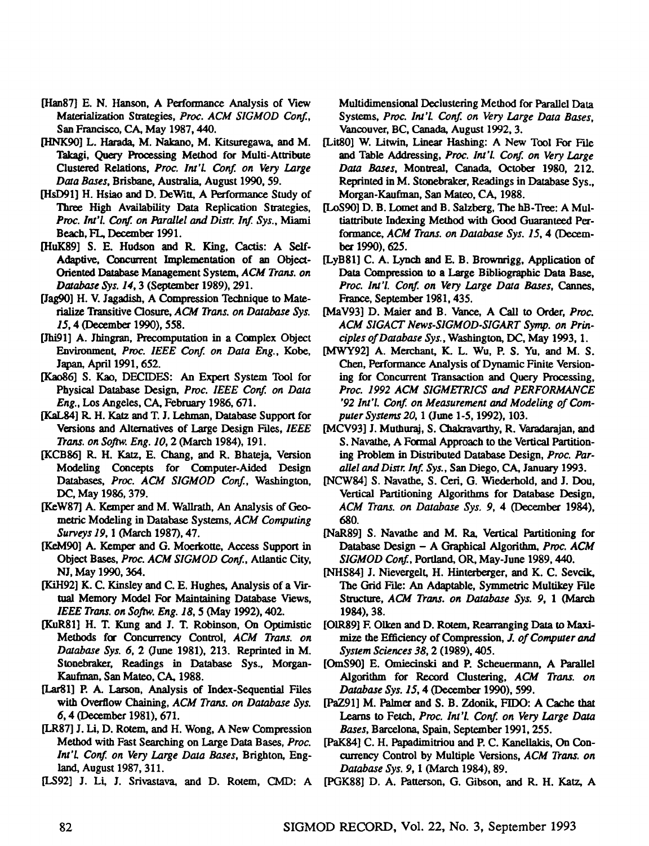- [Han87] E. N. Hanson, A Performance Analysis of View Materialization Strategies, Proc. ACM SIGMOD Conf., San Francisco, CA, May 1987, 440.
- [HNK90] L. Harada, M. Nakano, M. Kitsuregawa, and **M.**  Takagi, Query Processing Method for Multi-Atlribute Clustered Relations, *Proc. lnt'L Conf. on Very Large Data Bases,* Brisbane, Australia, August 1990, 59.
- [HsD91] H. Hsiao and D. DeWitt, A Performance Study of Three High Availability Data Replication Strategies, Proc. Int'l. Conf. on Parallel and Distr. Inf. Sys., Miami Beach, FL, December 1991.
- [HuK89] S. E. Hudson and R. King, Cactis: A Self-Adaptive, Concurrent Implementation of an Object-Oriented Database Management System, *ACM Trans. on Database Sys. 14,* 3 (September 1989), 291.
- [Jag90] H. V. Jagadish, A Compression Technique to Materialize Transitive Closure, *ACM Trans. on Database Sys. 15,* 4 (December 1990), 558.
- [Jhi91] A. Jhingran, Precomputation in a Complex Object Eavironment, *Proc. IEEE Conf. on Data Eng., Kobe,*  Japan, April 1991, 652.
- [Kao86] S. Kao, DECIDES: An Expert System Tool for Physical Database Design, *Proc. IEEE Conf. on Data Eng.,* Los Angeles, CA, February 1986, 671.
- [KaLg4] R. H. Katz and T. J. Lehman, Database Support for Versions and Alternatives of Large Design Files, *1EEE Trans. on Softw. Eng. lO, 2 (March* 1984), 191.
- [KCB86] R. H. Katz, E. Chang, and R. Bhateja, Version Modeling Concepts for Computer-Aided Design Databases, *Proc. ACM SIGMOD Conf.,* Washington, DC, May 1986, 379.
- [KeW87] A. Kemper and M. Wallrath, An Analysis of Geometric Modeling in Database Systems, *ACM Computing Surveys* 19, 1 (March 1987), 47.
- [KeM90] A. Kemper and G. Moerkotte, Access Support in Object *Bases, Proc. ACM S1GMOD Conf.,* Atlantic City, NJ, May 1990, 364.
- [KiH92] K. C. Kinsiey and C. E. Hughes, Analysis of a Virtual Memory Model For Maintaining Database Views, *IEEE Trans. on Softw. Eng.* 18, 5 (May 1992), 402.
- [KuR81] H. T. Kung and J. T. Robinson, On Optimistic Methods for Concurrency Control, *ACM Trans. on Database* Sys. 6, 2 (June 1981), 213. Reprinted in M. Stonebraker, Readings in Database Sys., Morgan-Kanfman, San Mateo, CA, 1988.
- [LarS1] P. A. Larson, Analysis of Index-Sequential Files with Overflow Chaining, *ACM Trans. on Database Sys.*  6, 4 (December 1981), 671.
- [LR87] J. Li, D. Rotem, and H. Wong, A New Compression Method with Fast Searching on Large Data Bases, *Proc. lnt'l. Conf. on Very Large Data Bases,* Brighton, England, August 1987, 311.
- [LS92] J. Li, J. Srivastava, and D. Rotem, CMD: A

Multidimensional Declustering Method for Parallel Data Systems, *Proc. Int'L Conf. on Very Large Data Bases,*  Vancouver, BC, Canada, August 1992, 3.

- [Lit80] W. Litwin, Linear Hashing: A New Tool For File and Table Addressing, Proc. Int'l. Conf. on Very Large *Data Bases,* Montreal, Canada, October 1980, 212. Reprinted in M. Stonebraker, Readings in Dalabase Sys., Morgan-Kanfman, San Mateo, CA, 1988.
- [LoS90] D. B. Lomet and B. Salzberg, The hB-Tree: A Multiattribute Indexing Method with Good Guaranteed Per*fonnance, ACM Trans. on Database Sys. 15, 4 (Decem*ber 1990), 625.
- [LyB81] C. A. Lynch and E. B. Brownrigg, Application of Data Compression to a Large Bibliographic Data Base, *Proc. Int'l. Conf. on Very Large Data Bases, Cannes,*  France, September 1981, 435.
- [MaV93] D. Maier and B. Vance, A Call to Order, Proc. *ACM SIGACT News-SIGMOD-SIGART Syrup. on Principles of Database Sys.,* Washington, DC, May 1993, 1.
- [MWY92] A. Merchant, K. L. Wu, P. S. Yu, and M. S. Chen, Performance Analysis of Dynamic Finite Versioning for Concurrent Transaction and Ouery Processing, *proc. 1992 ACM SIGMETRICS and PERFORMANCE '92 Int'l. Conf. on Measurement and Modeling of Computer Systems 20,* 1 (June 1-5, 1992), 103.
- [MCV93] J. Muthuraj, S. Chakravarthy, R. Varadarajan, and S. Navathe, A Formal Approach to the Vertical Partitioning Problem in Distributed Database Design, *Proc. Parallel and Distr. Inf. Sys.,* San Diego, CA, January 1993.
- [NCW84] S. Navathe, S. Ceri, G. Wiederhold, and J. Dou, Vertical Partitioning Algorithms for Database Design, *ACM Trans. on Database Sys.* 9, 4 (December 1984), *680.*
- [NaR89] S. Navathe and M. Ra, Vertical Partitioning for Database Design - A Graphical Algorithm; *Proc. ACM SIGMOD Conf.,* Portland, OR, May-June 1989, 440.
- [NHS84] J. Nievergelt, H. Hinterbezger, and K. C. Sevcik, The Grid File: An Adaptable, Symmetric Multikey File *Structure, ACM Trans. on Database Sys. 9, 1 (March*  1984), 38.
- [OIR89] E Olken and D. Rotem, Rearranging Data to Maximize the Efficiency of Compression, *J. of Computer and System Sciences 38,* 2 (1989), 405.
- [OmS90] E. Omiecinski and P. Scheuermann, A Parallel Algorithm for Record Clustering, *ACM Trans. on Database Sys. 15,* 4 (December 1990), 599.
- [PaZ91] M. Palmer and S. B. Zdonik, FIDO: A Cache that Learns to Fetch, *Proc. Int'l. Conf. on Very Large Data Bases,* Barcelona, Spain, September 1991, 255.
- [PaK84] C. H. Papadimitriou and P. C. Kanellakis, On Concurrency Control by Multiple Versions, *ACM Trans. on Database Sys.* 9, 1 (March 1984), 89.
- [PGK88] D. A. Patterson, G. Gibson, and R. H. Katz, A